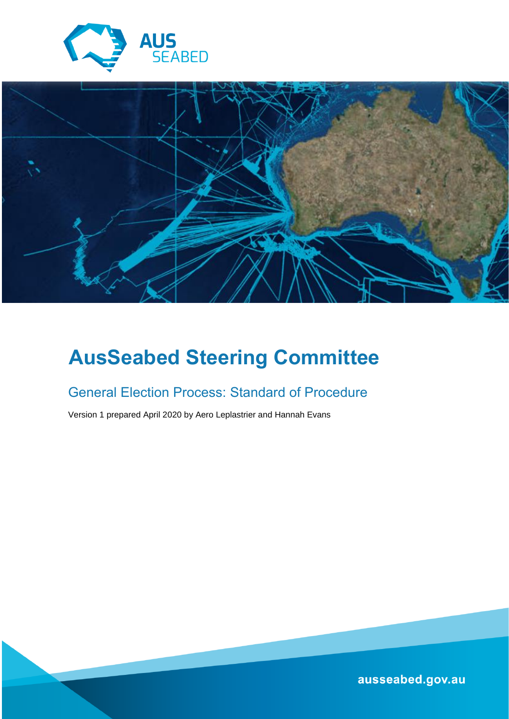



# **AusSeabed Steering Committee**

### General Election Process: Standard of Procedure

Version 1 prepared April 2020 by Aero Leplastrier and Hannah Evans

ausseabed.gov.au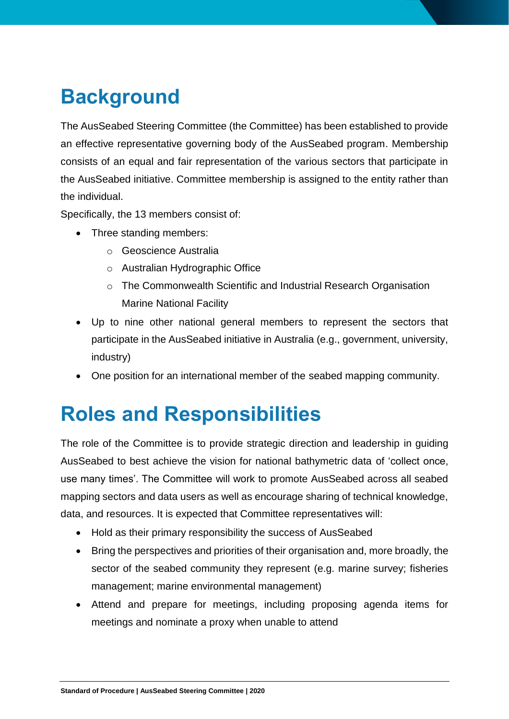## **Background**

The AusSeabed Steering Committee (the Committee) has been established to provide an effective representative governing body of the AusSeabed program. Membership consists of an equal and fair representation of the various sectors that participate in the AusSeabed initiative. Committee membership is assigned to the entity rather than the individual.

Specifically, the 13 members consist of:

- Three standing members:
	- o Geoscience Australia
	- o Australian Hydrographic Office
	- o The Commonwealth Scientific and Industrial Research Organisation Marine National Facility
- Up to nine other national general members to represent the sectors that participate in the AusSeabed initiative in Australia (e.g., government, university, industry)
- One position for an international member of the seabed mapping community.

### **Roles and Responsibilities**

The role of the Committee is to provide strategic direction and leadership in guiding AusSeabed to best achieve the vision for national bathymetric data of 'collect once, use many times'. The Committee will work to promote AusSeabed across all seabed mapping sectors and data users as well as encourage sharing of technical knowledge, data, and resources. It is expected that Committee representatives will:

- Hold as their primary responsibility the success of AusSeabed
- Bring the perspectives and priorities of their organisation and, more broadly, the sector of the seabed community they represent (e.g. marine survey; fisheries management; marine environmental management)
- Attend and prepare for meetings, including proposing agenda items for meetings and nominate a proxy when unable to attend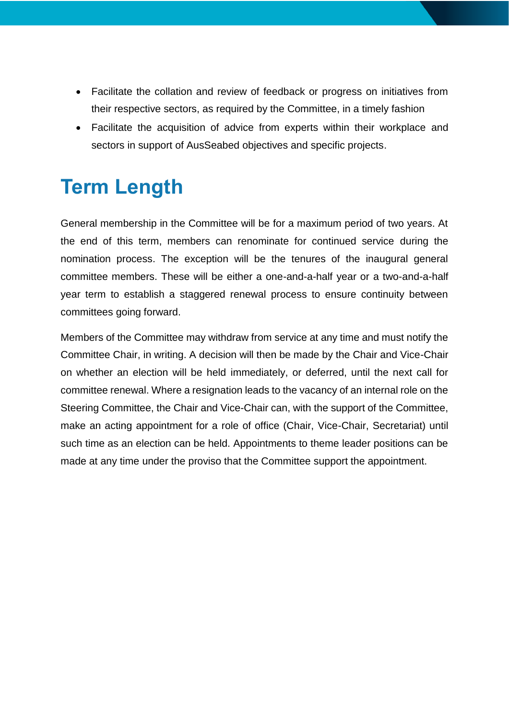- Facilitate the collation and review of feedback or progress on initiatives from their respective sectors, as required by the Committee, in a timely fashion
- Facilitate the acquisition of advice from experts within their workplace and sectors in support of AusSeabed objectives and specific projects.

### **Term Length**

General membership in the Committee will be for a maximum period of two years. At the end of this term, members can renominate for continued service during the nomination process. The exception will be the tenures of the inaugural general committee members. These will be either a one-and-a-half year or a two-and-a-half year term to establish a staggered renewal process to ensure continuity between committees going forward.

Members of the Committee may withdraw from service at any time and must notify the Committee Chair, in writing. A decision will then be made by the Chair and Vice-Chair on whether an election will be held immediately, or deferred, until the next call for committee renewal. Where a resignation leads to the vacancy of an internal role on the Steering Committee, the Chair and Vice-Chair can, with the support of the Committee, make an acting appointment for a role of office (Chair, Vice-Chair, Secretariat) until such time as an election can be held. Appointments to theme leader positions can be made at any time under the proviso that the Committee support the appointment.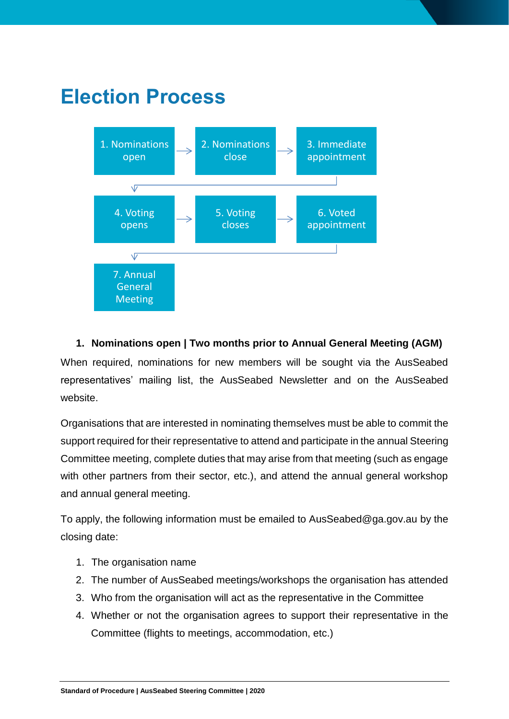## **Election Process**



#### **1. Nominations open | Two months prior to Annual General Meeting (AGM)**

When required, nominations for new members will be sought via the AusSeabed representatives' mailing list, the AusSeabed Newsletter and on the AusSeabed website.

Organisations that are interested in nominating themselves must be able to commit the support required for their representative to attend and participate in the annual Steering Committee meeting, complete duties that may arise from that meeting (such as engage with other partners from their sector, etc.), and attend the annual general workshop and annual general meeting.

To apply, the following information must be emailed to [AusSeabed@ga.gov.au](mailto:AusSeabed@ga.gov.au) by the closing date:

- 1. The organisation name
- 2. The number of AusSeabed meetings/workshops the organisation has attended
- 3. Who from the organisation will act as the representative in the Committee
- 4. Whether or not the organisation agrees to support their representative in the Committee (flights to meetings, accommodation, etc.)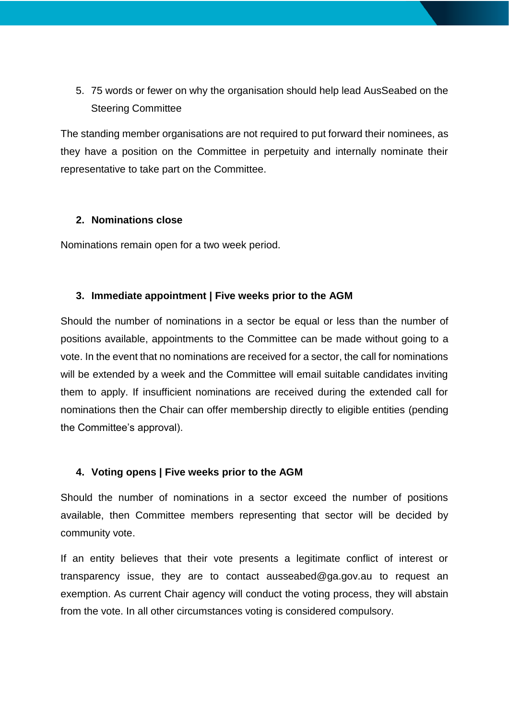5. 75 words or fewer on why the organisation should help lead AusSeabed on the Steering Committee

The standing member organisations are not required to put forward their nominees, as they have a position on the Committee in perpetuity and internally nominate their representative to take part on the Committee.

#### **2. Nominations close**

Nominations remain open for a two week period.

#### **3. Immediate appointment | Five weeks prior to the AGM**

Should the number of nominations in a sector be equal or less than the number of positions available, appointments to the Committee can be made without going to a vote. In the event that no nominations are received for a sector, the call for nominations will be extended by a week and the Committee will email suitable candidates inviting them to apply. If insufficient nominations are received during the extended call for nominations then the Chair can offer membership directly to eligible entities (pending the Committee's approval).

#### **4. Voting opens | Five weeks prior to the AGM**

Should the number of nominations in a sector exceed the number of positions available, then Committee members representing that sector will be decided by community vote.

If an entity believes that their vote presents a legitimate conflict of interest or transparency issue, they are to contact [ausseabed@ga.gov.au](mailto:ausseabed@ga.gov.au) to request an exemption. As current Chair agency will conduct the voting process, they will abstain from the vote. In all other circumstances voting is considered compulsory.